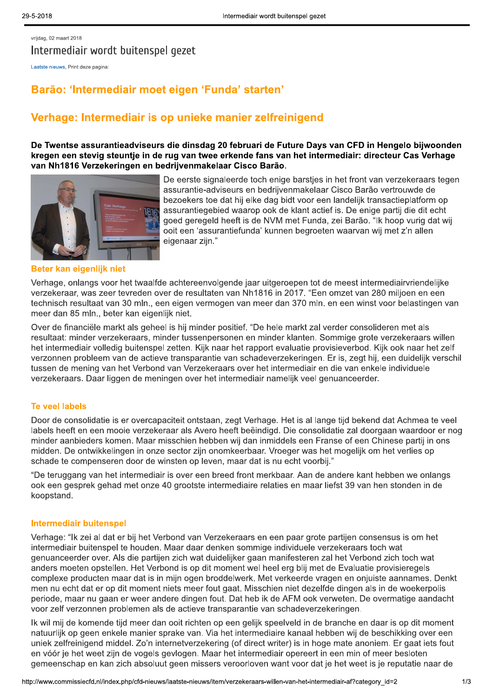vrijdag, 02 maart 2018 Intermediair wordt buitenspel gezet

Laatste nieuws, Print deze pagina:

# Barão: 'Intermediair moet eigen 'Funda' starten'

## Verhage: Intermediair is op unieke manier zelfreinigend

De Twentse assurantieadviseurs die dinsdag 20 februari de Future Days van CFD in Hengelo bijwoonden kregen een stevig steuntje in de rug van twee erkende fans van het intermediair: directeur Cas Verhage van Nh1816 Verzekeringen en bedrijvenmakelaar Cisco Barão.



De eerste signaleerde toch enige barstjes in het front van verzekeraars tegen assurantie-adviseurs en bedrijvenmakelaar Cisco Barão vertrouwde de bezoekers toe dat hij elke dag bidt voor een landelijk transactieplatform op assurantiegebied waarop ook de klant actief is. De enige partij die dit echt goed geregeld heeft is de NVM met Funda, zei Barão. "Ik hoop vurig dat wij ooit een 'assurantiefunda' kunnen begroeten waarvan wij met z'n allen eigenaar zijn."

#### Beter kan eigenlijk niet

Verhage, onlangs voor het twaalfde achtereenvolgende jaar uitgeroepen tot de meest intermediairvriendelijke verzekeraar, was zeer tevreden over de resultaten van Nh1816 in 2017. "Een omzet van 280 miljoen en een technisch resultaat van 30 mln., een eigen vermogen van meer dan 370 mln. en een winst voor belastingen van meer dan 85 mln., beter kan eigenlijk niet.

Over de financiële markt als geheel is hij minder positief. "De hele markt zal verder consolideren met als resultaat: minder verzekeraars, minder tussenpersonen en minder klanten. Sommige grote verzekeraars willen het intermediair volledig buitenspel zetten. Kijk naar het rapport evaluatie provisieverbod. Kijk ook naar het zelf verzonnen probleem van de actieve transparantie van schadeverzekeringen. Er is, zegt hij, een duidelijk verschil tussen de mening van het Verbond van Verzekeraars over het intermediair en die van enkele individuele verzekeraars. Daar liggen de meningen over het intermediair namelijk veel genuanceerder.

## **Te veel labels**

Door de consolidatie is er overcapaciteit ontstaan, zegt Verhage. Het is al lange tijd bekend dat Achmea te veel labels heeft en een mooie verzekeraar als Avero heeft beëindigd. Die consolidatie zal doorgaan waardoor er nog minder aanbieders komen. Maar misschien hebben wij dan inmiddels een Franse of een Chinese partij in ons midden. De ontwikkelingen in onze sector zijn onomkeerbaar. Vroeger was het mogelijk om het verlies op schade te compenseren door de winsten op leven, maar dat is nu echt voorbij."

"De teruggang van het intermediair is over een breed front merkbaar. Aan de andere kant hebben we onlangs ook een gesprek gehad met onze 40 grootste intermediaire relaties en maar liefst 39 van hen stonden in de koopstand.

#### **Intermediair buitenspel**

Verhage: "Ik zei al dat er bij het Verbond van Verzekeraars en een paar grote partijen consensus is om het intermediair buitenspel te houden. Maar daar denken sommige individuele verzekeraars toch wat genuanceerder over. Als die partijen zich wat duidelijker gaan manifesteren zal het Verbond zich toch wat anders moeten opstellen. Het Verbond is op dit moment wel heel erg blij met de Evaluatie provisieregels complexe producten maar dat is in mijn ogen broddelwerk. Met verkeerde vragen en onjuiste aannames. Denkt men nu echt dat er op dit moment niets meer fout gaat. Misschien niet dezelfde dingen als in de woekerpolis periode, maar nu gaan er weer andere dingen fout. Dat heb ik de AFM ook verweten. De overmatige aandacht voor zelf verzonnen problemen als de actieve transparantie van schadeverzekeringen.

Ik wil mij de komende tijd meer dan ooit richten op een gelijk speelveld in de branche en daar is op dit moment natuurlijk op geen enkele manier sprake van. Via het intermediaire kanaal hebben wij de beschikking over een uniek zelfreinigend middel. Zo'n internetverzekering (of direct writer) is in hoge mate anoniem. Er gaat iets fout en vóór je het weet zijn de vogels gevlogen. Maar het intermediair opereert in een min of meer besloten gemeenschap en kan zich absoluut geen missers veroorloven want voor dat je het weet is je reputatie naar de